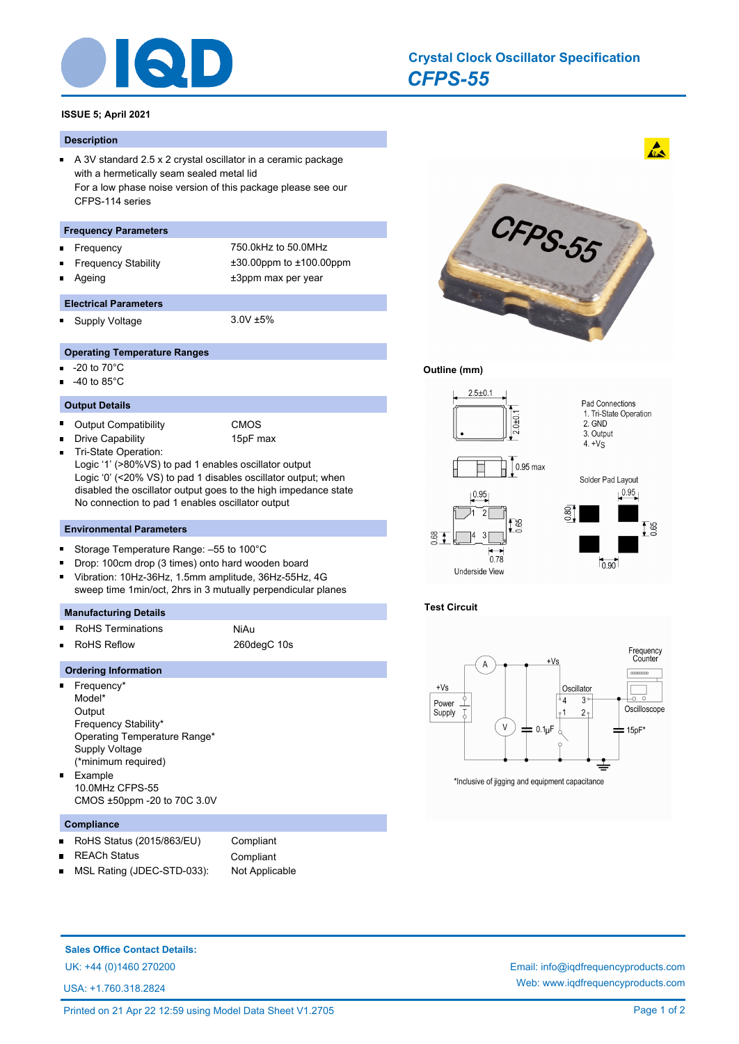

# *CFPS-55* **Crystal Clock Oscillator Specification**

## **ISSUE 5; April 2021**

### **Description**

 $\blacksquare$ A 3V standard 2.5 x 2 crystal oscillator in a ceramic package with a hermetically seam sealed metal lid For a low phase noise version of this package please see our CFPS-114 series

### **Frequency Parameters**

- 
- 
- Frequency 750.0kHz to 50.0MHz Frequency Stability ±30.00ppm to ±100.00ppm Ageing  $\pm 3$ ppm max per year
- **Electrical Parameters** Supply Voltage 3.0V ±5%
	-

### **Operating Temperature Ranges**

- -20 to 70°C  $\blacksquare$
- -40 to 85°C

### **Output Details**

- n Output Compatibility CMOS
- $\blacksquare$
- Drive Capability 15pF max Tri-State Operation:

Logic '1' (>80%VS) to pad 1 enables oscillator output Logic '0' (<20% VS) to pad 1 disables oscillator output; when disabled the oscillator output goes to the high impedance state No connection to pad 1 enables oscillator output

### **Environmental Parameters**

- $\blacksquare$ Storage Temperature Range: –55 to 100°C
- Drop: 100cm drop (3 times) onto hard wooden board
- Vibration: 10Hz-36Hz, 1.5mm amplitude, 36Hz-55Hz, 4G  $\blacksquare$ sweep time 1min/oct, 2hrs in 3 mutually perpendicular planes

### **Manufacturing Details**

- RoHS Terminations NiAu
- RoHS Reflow 260degC 10s

**Ordering Information** Frequency\*  $\blacksquare$ Model\* **Output** Frequency Stability\* Operating Temperature Range\* Supply Voltage (\*minimum required) Ė Example 10.0MHz CFPS-55 CMOS ±50ppm -20 to 70C 3.0V

### **Compliance**

- RoHS Status (2015/863/EU) Compliant
- $\blacksquare$ 
	- REACh Status **Compliant**
- MSL Rating (JDEC-STD-033): Not Applicable  $\blacksquare$



 $\mathbf{A}$ 

### **Outline (mm)**



### **Test Circuit**



\*Inclusive of jigging and equipment capacitance

**Sales Office Contact Details:**

USA: +1.760.318.2824

UK: +44 (0)1460 270200 Email: info@iqdfrequencyproducts.com Web: www.iqdfrequencyproducts.com